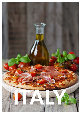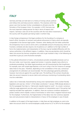# **Italy**

Germany and Italy can look back on a history of strong cultural, political and military links and lively economic relations. This closeness which has grown over time has been further consolidated on all levels since the formation of the European Union. For example, in 2012 Germany was the most important trading partner for Italy in terms of exports and imports. Germany is also one of the countries with the most direct investments in the country with the greater part being made in northern Italy.

In Italy foreign entrepreneurs find legal conditions for the founding of a company or branch office, formation of contracts and judicial enforcement of claims which are basically comparable to the German legal system. However, when dealing with the Italian authorities the entrepreneur has to come to terms with a considerable amount of bureaucracy which can frustrate a schedule and also require a lot of patience as in addition to the high number of forms the implementation and interpretation of the laws may be handled differently with the various authorities in the different regions. In addition, there are peculiarities which should be taken into account by German companies who wish to get involved in Italy. In the following we would like to give you some illustrative examples:

In the judicial enforcement of claims, civil procedures provide comparable processes such as the court order, court injunction, appeal and revision. In practice, despite many reforms to accelerate proceedings, the Italian legal procedures are still characterised by their lengthiness. For example, even with simple legal disputes a civil court ruling in the first instance on average takes three to five years. Therefore, depending on the constellation of the case, contractual arrangements for arbitration are recommended. The time advantage gained by arbitration, however, has to be set against the usual high costs. The drafting of the contract should also take into account measures to secure claims and continuous monitoring of outstanding claims must be undertaken.

Labour law is historically characterised by strong union representation and a worker-friendly legislation and case law. Article 1 of the Italian constitution 1 January 1948 already declares in the first paragraph that Italy is a "democratic republic based on work". As a result, numerous collective wage agreements are also used in questions of interpretation even if the parties had explicitly excluded their application. In addition, there are numerous conditions designed to protect workers which impede a notice of termination or which have a negative financial result for the employer. Furthermore, the fragmentation of the labour law into numerous separate laws and sub-provisions leads to interpretations in favour of the employee in case of doubt.

In addition to this aspect of the legal situation, in Italy there are high employee on-costs to be taken into account which for normal employees usually amount to 27 to 29% for the employer.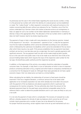As previously was the case in the United States regarding the social security number, in Italy it is the personal tax number with which the identity of a natural person can be established or noted. The "codice fiscale" is often required in connection with nearly all contracts or for matters concerning daily life even without any relevance for tax. Therefore, one of the first actions undertaken by a German citizen who wishes to become active as an entrepreneur in Italy is to apply for such a tax number via the Italian diplomatic representation in Germany or directly in Italy at the appropriate office. The allocation of the tax number which is valid for life does not itself, however, lead to tax duties requiring action.

The payment of taxes in Italy is made with many deviations to the German practice. Instead of the sequence of "tax return – tax assessment – payment of tax", in Italy the tax payment must first be made (to deadlines which cannot be extended) according to own calculations which is followed by the submission (to deadlines which cannot be extended) of the tax return after which there may be a tax audit. If this process establishes that tax payments have been omitted, are too low or are late (also even by a single day), the result is penalty payments with significant amounts. The tax payment itself can also not be made simply by bank transfer, but as is the case with most public taxes it has to be made via an electronic form (F24) at the account-holding Italian bank which requires the input of the respective code number for the tax type, the beneficiary public authority and the respective tax period.

In addition, at the beginning of the activity a tax analysis should be undertaken of possible consumer taxes. For example, in Italy there is a tax on lubrication oil which is due on imported products containing lubrication oil (e.g. engines) and which leads to compulsory membership of a consortium for the disposal of waste oil. Although these taxes generally do not have a great economic impact, their non-observance can lead to a criminal liability.

When calculating the tax liability, the relationship of turnover to fixed assets should be examined. If this has a negative deviation, a minimum amount has to be taxed under application of an increased corporation tax rate which already has to be taken into account with the payment of the tax (balances and advance payments) which in particular has consequences for inactive companies. The tax authorities also check the amount of the declared assessment basis for the paid taxes using statistical comparable values for the reference field in order to determine possible deviations and in such cases are likely to carry out a tax audit.

It is not only the payment of taxes which is complicated. The recovery of overpaid tax is also difficult, whereby requests for refunds of sales tax balances which cannot be set off must include a bank guarantee and a number of years has to be allowed for the process. For proper financial accounting, certain registers have to be set up and maintained such as a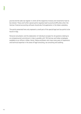journal and the sales tax register in which all the respective invoices and movements have to be entered. These and further special points regularly lead to practical difficulties when the German financial accounting software should also find application in the Italian subsidiary.

The points presented here only represent a small part of the special legal and tax points to be found in Italy.

Personal consultation and the elaboration of individual concepts for all questions relating to an entrepreneurial commitment in Italy is possible with 150 German and Italian employees available at our offices in Milan, Rome, Padua and Bozen who have many years of experience and technical expertise in the areas of legal consulting, tax consulting and auditing.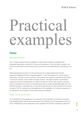# Practica examp

# **Taxes**

Background facts:

The D GmbH company founds a subsidiary in Italy and the company is equipped with substantial fixed assets in order for it to pursue its operations. In the first years, however, due to start-up difficulties it only achieves a low turnover and a corresponding loss according to civil law.

While preparing the tax return for the second year the company determines that the regulations regarding fictitious companies applies. If, with the existence of a certain level of fixed assets, a certain minimum turnover is not realised, the company is deemed to be fictitious ("Societ� di comodo") and is subject to higher taxation. The higher taxation is achieved by raising the tax base and application of a higher tax rate. For the tax base a profit is assumed which is oriented to the amount of the fixed assets (and is usually substantially higher than the effective tax base). Corporation tax, on the other hand, amounts to 38% instead of the normal tax rate of 27.5%. Resulting from the application of the regulation for fictitious companies it is not allowed for the company to offset existing sales tax balances.

## What can be done now?

As the deadlines for the application for suspension of the regulation for fictitious companies have already expired, Rödl & Partner Italy assists the subsidiary with the preparation of the tax return, whereby the correct application of the regulation for fictitious companies is observed.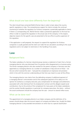# What should one have done differently from the beginning?

The client should have contacted Rödl & Partner Italy in order to learn about the country specific regulations in Italy. The comprehensive support for clients includes the continual monitoring of whether the regulation for fictitious companies is potentially applicable to clients. If there is a corresponding risk, Rödl & Partner makes a preventive application to the local tax office in order to suspend the regulation in the actual case of the company. In this respect, objective reasons for the specific case are presented to the tax office to justify suspension of the regulation.

If the application is well prepared, the request to suspend the regulation for fictitious companies is usually granted and the client can make the tax calculation according to the usual regulations and is not subject to restrictions in the handling of tax assets.

# **Law**

## Background facts:

The Italian subsidiary of a German industrial group receives a statement of claim from a former managing director who was dismissed from his position after disagreements on business policy. The former managing director who also worked for the parent company in Germany was also appointed as a managing director at a number of subsidiaries in Italy and one of these – not the one which received the claim – had paid the complainant an impressive remuneration which in line with the common understanding at that time was meant to cover all the offices.

The managing director now claims from the defending company (i) additional payment of a managing director's remuneration and (ii) the subsequent payment of his salary as in his opinion he worked as a company executive, plus compensation for damages and settlements associated with unfair dismissal from his employment contract and the alleged unpaid social contributions. Due to the activity of the complainant for many years at the Italian subsidiaries and the worker-friendly regulations in particular for company executives, the claims – without the social contributions should the company lose the case – amount to several million euros.

#### What can be done now?

The appointment of a managing director to an Italian company and the definition of his powers should always take into account aspects of company and labour law. Usually the Italian managing director is only awarded remuneration on which due to a special classification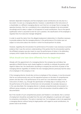between dependent employees and free employees social contributions are only due to a low extent. As soon as a managing director, however, is subordinate to the instructions of a shareholder or a different managing director such that he is no longer free to manage the operative business, then he is considered to be a subordinate employee to be remunerated accordingly and his salary is subject to full payment of social contributions. Due to the special qualification which is assumed to exist for such a position, the classification of this employee is regularly that of an executive manager (dirigente).

In order to avoid the claims from the alleged employment relationship it is therefore necessary to provide evidence that the managing director in the performance of his duties was not subject to instructions about the manner in which he should perform his duties.

However, regarding the remuneration for performance of his duties it was necessary to provide evidence that it was the common understanding of the parties that the remuneration paid by the affiliated company was also meant to cover the performance of duties in the defending company which implies that the complainant had renounced a separate remuneration.

# What should one have done differently from the beginning?

Already with the appointment of a managing director the company law and labour law specialists at Rödl & Partner work closely together to carefully co-ordinate the position with regard to labour law, the classification according to company law and limits of power of the managing director regardless of whether the new managing director previously had the status of an employee in the company or not.

If the managing director should also not be an employee of the company, it must be ensured that he can autonomously carry out the operative business on the basis of comprehensive powers and also that in the performance of his work he is not otherwise subject to the instructions of others, e.g. through the specification of holiday days or working times. If the performance of his duties is furthermore not remunerated, for example, because as in the case described, the managing director is already comprehensively remunerated in a different group company, an express waiver of the remuneration should be added to the documentation.

But if the transfer of such comprehensive powers and freedom is not desired, then a contract of employment should be concluded from the start with obligations in particular with regard to compulsory contributions. The same is reversely true. If an employee is also to be appointed a managing director without losing his legal position with regard to social contributions, his powers have to be limited.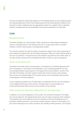The exact arrangement respectively depends on the individual position of the managing director, the corporate governance rules of the company group and the actual operative situation at the local level in order to elaborate the most appropriate solution for a problem free co-operation between managing director and shareholders and consensual separation at a later date.

# **Law**

#### Background facts:

The Italian subsidiary of a client located in Milan would like to initiate legal proceedings to recover a receivable which in the meantime has risen to a high amount from a customer located in southern Italy and gives a corresponding mandate.

The contracts made by the client for delivery of goods are subject to the client's general terms and conditions for goods which are formulated according to Italian law which foresees Milan as the court of jurisdiction. The general terms and conditions are printed on the written offers of the client and the customer has countersigned the letter of offer as a sign of acceptance.

#### What can be done now?

According to the Italian code of civil procedure, in the absence of a deviating agreement the court of jurisdiction is the location of the defendant. Such a deviating agreement can also be concluded between business persons in the general terms and conditions. Sections 1341 and 1342 of the Italian civil code, however, foresee that certain provisions which deviate from the law to the disadvantage of the contract partner must be separately listed and also countersigned to indicate acceptance.

If such a separate acceptance has not taken place, the agreement for the court of jurisdiction is not a legally effective part of the contract. The legal action must be brought via a communicating lawyer before the court at the location of the customer.

## What should one have done differently from the beginning?

In addition to the correct preparation of the content, the numerous formalities of the Italian law must be observed. The separate listing which was not made and signing of the conditions of the general terms and conditions such as for example concerning the deviating court of jurisdiction, liability restrictions, tacit contract renewal clauses or reasons for termination is an error which frequently occurs which can lead to the invalidity of these provisions. The inclusion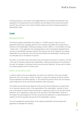of these provisions in the contract to be legally effective must therefore be observed in the preparation of the general terms and conditions and the design of the contract documents and with the conclusion of the contract itself by making sure that the separate signature is appropriately made.

# **Law**

#### Background facts:

The German majority shareholder of an Italian S.r.l. (GmbH) receives a copy of a court application filed by the managing director of the company to liquidate the company due to inactivity of the shareholders' meeting according to section 2484 no. 3 of the Italian civil code "codice civile". In the application the managing director claims that despite repeated formal summons to shareholder meetings to discuss the financial crisis of the company, the majority shareholder has not reacted to the summons and therefore the shareholders' meeting could not take place due to the absence of quorum.

The client, on the other hand, claims that he did not receive the summons in question, but that in the case of important questions the shareholders' meeting had previously met according to the rules, for example, to authorise the last annual financial statement. He now asks for advice on the best possible course of further action.

## What can be done now?

In order to object to the court application, the client must intervene in the action brought before the court with a plea in writing. This plea in writing must already include the reasons why the application should be rejected, i.e. the mentioned summons which was not received and the approval of the annual financial statement which took place.

The settled case law defines the approval of the annual financial statement as a typical case for an important decision which is the responsibility of the shareholders' meeting. As far as over a time period of at least three financial years no approval is given for the annual financial statement, this is regarded as a clear sign of the inactivity of the shareholders' meeting. In this respect the actual approval of the last annual financial statement is a substantial piece of evidence for the functionality and activity of the shareholders' meeting.

The court accepted the argumentation of the majority shareholder and has rejected the application to liquidate the company.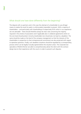## What should one have done differently from the beginning?

The dispute with co-partners and in this case the attempt of a shareholder to use all legal means to realise the result he seeks is unfortunately impossible to prevent. With a majority of shareholders – and particularly with shareholdings of respectively 50% which in our experience are not advisable – there should therefore always be clear rules concerning the majority required in the articles of association and if applicable also in collateral agreements which on the one hand should protect minority shareholders but should also not lead to a deadlock. The same should be made on the level of the company management so that the interests of the shareholders in proportion to their entrepreneurial commitment are also protected with regard to operative questions. Finally, such deadlock situations should be regulated by a corresponding process which can be legally mutually agreed before the situation arises. The corporate law specialists of Rödl & Partner are able to comprehensively advise the client with the contract design due to their experience with the courts in order to prevent such disputes.